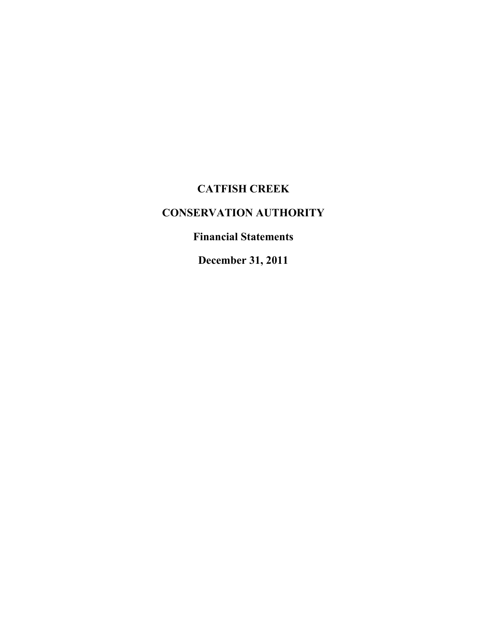# **CATFISH CREEK**

# **CONSERVATION AUTHORITY**

## **Financial Statements**

**December 31, 2011**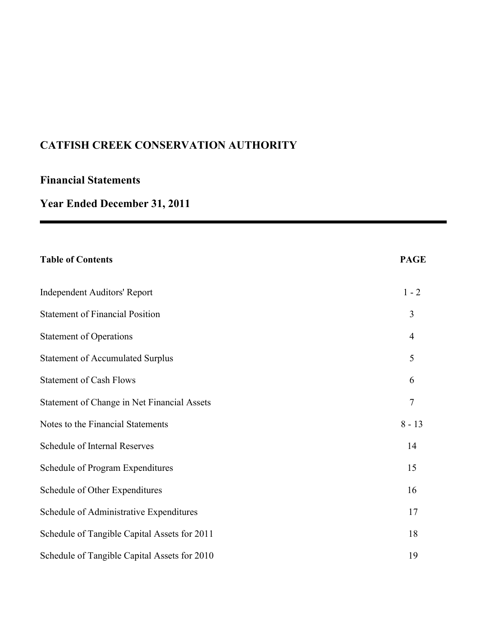## **Financial Statements**

# **Year Ended December 31, 2011**

| <b>Table of Contents</b>                     | <b>PAGE</b>    |
|----------------------------------------------|----------------|
| <b>Independent Auditors' Report</b>          | $1 - 2$        |
| <b>Statement of Financial Position</b>       | 3              |
| <b>Statement of Operations</b>               | $\overline{4}$ |
| <b>Statement of Accumulated Surplus</b>      | 5              |
| <b>Statement of Cash Flows</b>               | 6              |
| Statement of Change in Net Financial Assets  | 7              |
| Notes to the Financial Statements            | $8 - 13$       |
| Schedule of Internal Reserves                | 14             |
| Schedule of Program Expenditures             | 15             |
| Schedule of Other Expenditures               | 16             |
| Schedule of Administrative Expenditures      | 17             |
| Schedule of Tangible Capital Assets for 2011 | 18             |
| Schedule of Tangible Capital Assets for 2010 | 19             |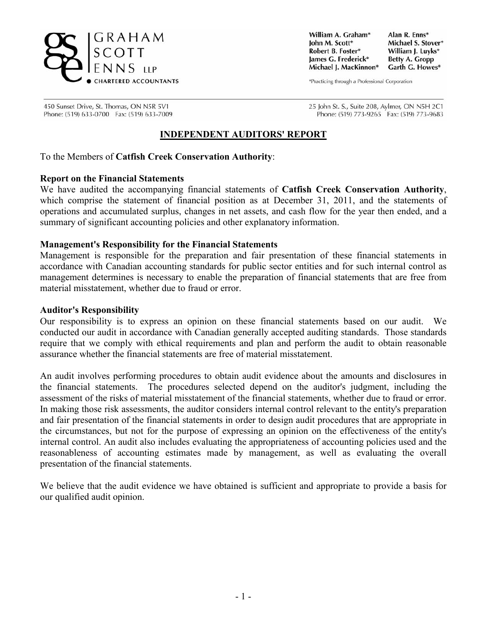

William A. Graham\* Iohn M. Scott\* Robert B. Foster\* James G. Frederick\* Michael J. MacKinnon\*

Alan R. Enns\* Michael S. Stover\* William J. Luvks\* **Betty A. Gropp** Garth G. Howes\*

\*Practicing through a Professional Corporation

450 Sunset Drive, St. Thomas, ON N5R 5V1 Phone: (519) 633-0700 Fax: (519) 633-7009 25 John St. S., Suite 208, Aylmer, ON N5H 2C1 Phone: (519) 773-9265 Fax: (519) 773-9683

### **INDEPENDENT AUDITORS' REPORT**

To the Members of **Catfish Creek Conservation Authority**:

#### **Report on the Financial Statements**

We have audited the accompanying financial statements of **Catfish Creek Conservation Authority**, which comprise the statement of financial position as at December 31, 2011, and the statements of operations and accumulated surplus, changes in net assets, and cash flow for the year then ended, and a summary of significant accounting policies and other explanatory information.

#### **Management's Responsibility for the Financial Statements**

Management is responsible for the preparation and fair presentation of these financial statements in accordance with Canadian accounting standards for public sector entities and for such internal control as management determines is necessary to enable the preparation of financial statements that are free from material misstatement, whether due to fraud or error.

#### **Auditor's Responsibility**

Our responsibility is to express an opinion on these financial statements based on our audit. We conducted our audit in accordance with Canadian generally accepted auditing standards. Those standards require that we comply with ethical requirements and plan and perform the audit to obtain reasonable assurance whether the financial statements are free of material misstatement.

An audit involves performing procedures to obtain audit evidence about the amounts and disclosures in the financial statements. The procedures selected depend on the auditor's judgment, including the assessment of the risks of material misstatement of the financial statements, whether due to fraud or error. In making those risk assessments, the auditor considers internal control relevant to the entity's preparation and fair presentation of the financial statements in order to design audit procedures that are appropriate in the circumstances, but not for the purpose of expressing an opinion on the effectiveness of the entity's internal control. An audit also includes evaluating the appropriateness of accounting policies used and the reasonableness of accounting estimates made by management, as well as evaluating the overall presentation of the financial statements.

We believe that the audit evidence we have obtained is sufficient and appropriate to provide a basis for our qualified audit opinion.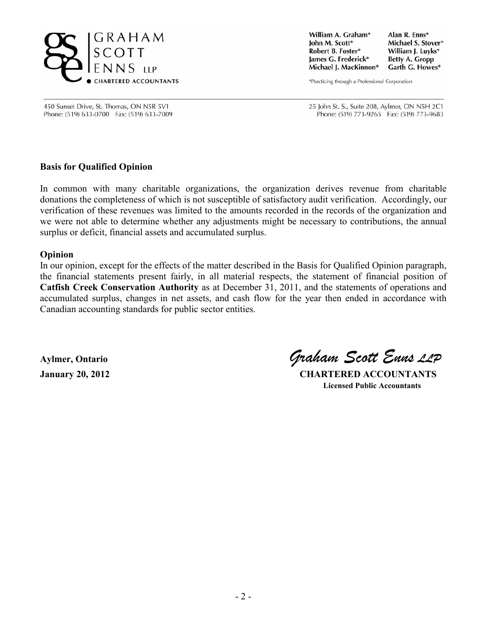

William A. Graham\* Alan R. Enns\* Iohn M. Scott\* Michael S. Stover\* Robert B. Foster\* William J. Luvks\* James G. Frederick\* **Betty A. Gropp** Michael J. MacKinnon\* Garth G. Howes\*

\*Practicing through a Professional Corporation

450 Sunset Drive, St. Thomas, ON N5R 5V1 Phone: (519) 633-0700 Fax: (519) 633-7009 25 John St. S., Suite 208, Aylmer, ON N5H 2C1 Phone: (519) 773-9265 Fax: (519) 773-9683

### **Basis for Qualified Opinion**

In common with many charitable organizations, the organization derives revenue from charitable donations the completeness of which is not susceptible of satisfactory audit verification. Accordingly, our verification of these revenues was limited to the amounts recorded in the records of the organization and we were not able to determine whether any adjustments might be necessary to contributions, the annual surplus or deficit, financial assets and accumulated surplus.

#### **Opinion**

In our opinion, except for the effects of the matter described in the Basis for Qualified Opinion paragraph, the financial statements present fairly, in all material respects, the statement of financial position of **Catfish Creek Conservation Authority** as at December 31, 2011, and the statements of operations and accumulated surplus, changes in net assets, and cash flow for the year then ended in accordance with Canadian accounting standards for public sector entities.

**Aylmer, Ontario** *Graham Scott Enns LLP*

**January 20, 2012 CHARTERED ACCOUNTANTS Licensed Public Accountants**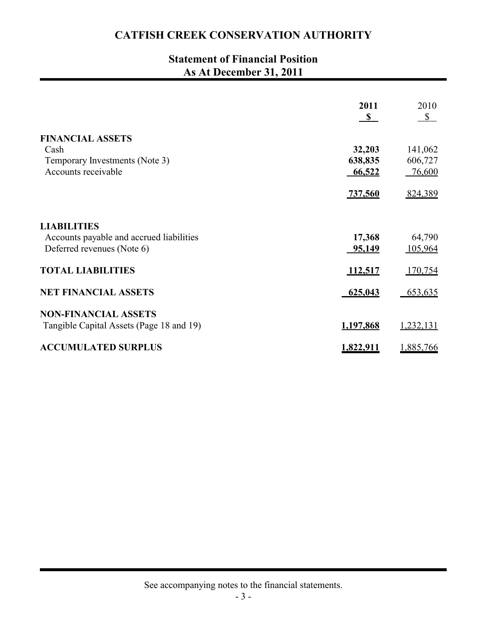## **Statement of Financial Position As At December 31, 2011**

|                                          | 2011           | 2010           |
|------------------------------------------|----------------|----------------|
|                                          | $\mathbf{s}$   | $\frac{S}{2}$  |
| <b>FINANCIAL ASSETS</b>                  |                |                |
| Cash                                     | 32,203         | 141,062        |
| Temporary Investments (Note 3)           | 638,835        | 606,727        |
| Accounts receivable                      | 66,522         | 76,600         |
|                                          | <u>737,560</u> | 824,389        |
| <b>LIABILITIES</b>                       |                |                |
| Accounts payable and accrued liabilities | 17,368         | 64,790         |
| Deferred revenues (Note 6)               | 95,149         | 105,964        |
| <b>TOTAL LIABILITIES</b>                 | 112,517        | <u>170,754</u> |
| <b>NET FINANCIAL ASSETS</b>              | 625,043        | 653,635        |
| <b>NON-FINANCIAL ASSETS</b>              |                |                |
| Tangible Capital Assets (Page 18 and 19) | 1,197,868      | 1,232,131      |
| <b>ACCUMULATED SURPLUS</b>               | 1,822,911      | 1,885,766      |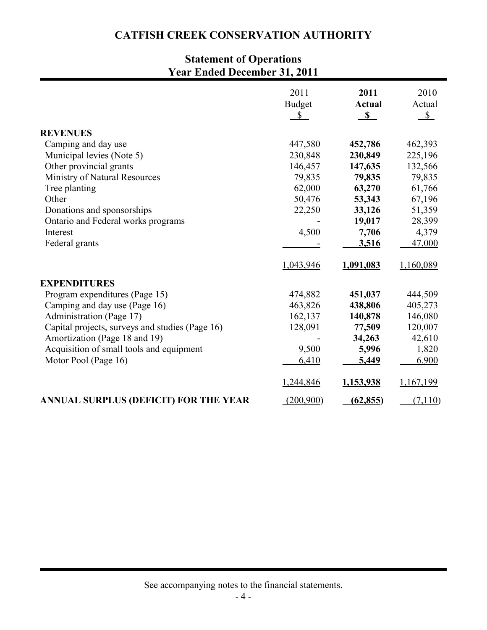# **Statement of Operations Year Ended December 31, 2011**

|                                                 | 2011<br><b>Budget</b> | 2011<br><b>Actual</b> | 2010<br>Actual |
|-------------------------------------------------|-----------------------|-----------------------|----------------|
|                                                 | \$                    | S                     | $S_{-}$        |
| <b>REVENUES</b>                                 |                       |                       |                |
| Camping and day use                             | 447,580               | 452,786               | 462,393        |
| Municipal levies (Note 5)                       | 230,848               | 230,849               | 225,196        |
| Other provincial grants                         | 146,457               | 147,635               | 132,566        |
| Ministry of Natural Resources                   | 79,835                | 79,835                | 79,835         |
| Tree planting                                   | 62,000                | 63,270                | 61,766         |
| Other                                           | 50,476                | 53,343                | 67,196         |
| Donations and sponsorships                      | 22,250                | 33,126                | 51,359         |
| Ontario and Federal works programs              |                       | 19,017                | 28,399         |
| Interest                                        | 4,500                 | 7,706                 | 4,379          |
| Federal grants                                  |                       | 3,516                 | 47,000         |
|                                                 | 1,043,946             | 1,091,083             | 1,160,089      |
| <b>EXPENDITURES</b>                             |                       |                       |                |
| Program expenditures (Page 15)                  | 474,882               | 451,037               | 444,509        |
| Camping and day use (Page 16)                   | 463,826               | 438,806               | 405,273        |
| Administration (Page 17)                        | 162,137               | 140,878               | 146,080        |
| Capital projects, surveys and studies (Page 16) | 128,091               | 77,509                | 120,007        |
| Amortization (Page 18 and 19)                   |                       | 34,263                | 42,610         |
| Acquisition of small tools and equipment        | 9,500                 | 5,996                 | 1,820          |
| Motor Pool (Page 16)                            | 6,410                 | <u>5,449</u>          | 6,900          |
|                                                 | 1,244,846             | 1,153,938             | 1,167,199      |
| ANNUAL SURPLUS (DEFICIT) FOR THE YEAR           | (200,900)             | (62, 855)             | (7, 110)       |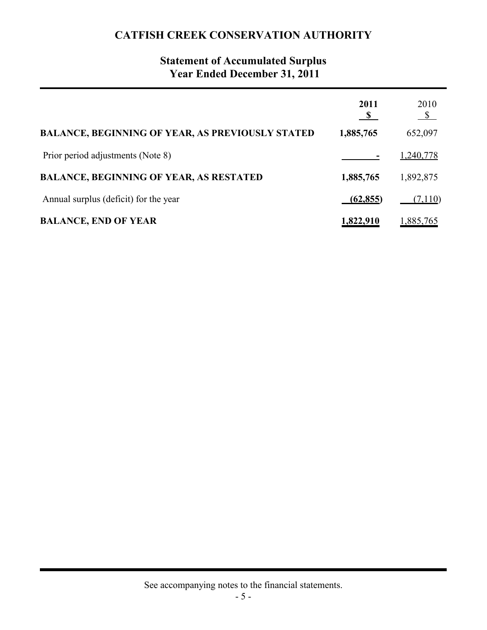## **Statement of Accumulated Surplus Year Ended December 31, 2011**

|                                                         | 2011      | 2010<br>$\mathbb{S}$ |
|---------------------------------------------------------|-----------|----------------------|
| <b>BALANCE, BEGINNING OF YEAR, AS PREVIOUSLY STATED</b> | 1,885,765 | 652,097              |
| Prior period adjustments (Note 8)                       |           | 1,240,778            |
| <b>BALANCE, BEGINNING OF YEAR, AS RESTATED</b>          | 1,885,765 | 1,892,875            |
| Annual surplus (deficit) for the year                   | (62, 855) | (7,110)              |
| <b>BALANCE, END OF YEAR</b>                             | 1,822,910 | 1,885,765            |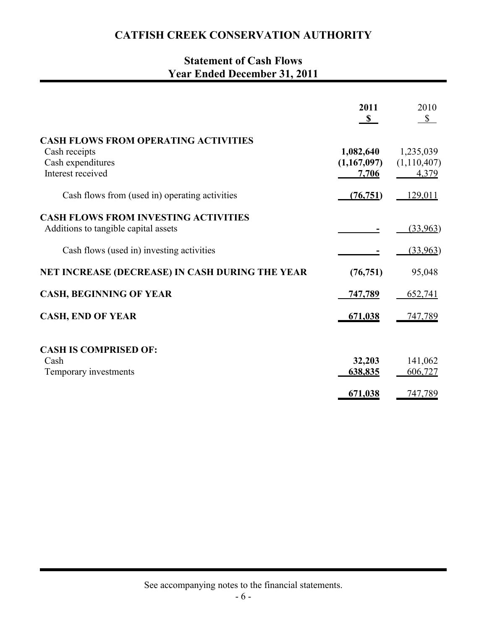## **Statement of Cash Flows Year Ended December 31, 2011**

|                                                                                                        | 2011<br>$\mathbb{S}$              | 2010<br>$\mathbb{S}$              |
|--------------------------------------------------------------------------------------------------------|-----------------------------------|-----------------------------------|
| <b>CASH FLOWS FROM OPERATING ACTIVITIES</b><br>Cash receipts<br>Cash expenditures<br>Interest received | 1,082,640<br>(1,167,097)<br>7,706 | 1,235,039<br>(1,110,407)<br>4,379 |
| Cash flows from (used in) operating activities                                                         | (76, 751)                         | 129,011                           |
| <b>CASH FLOWS FROM INVESTING ACTIVITIES</b><br>Additions to tangible capital assets                    |                                   | (33,963)                          |
| Cash flows (used in) investing activities                                                              |                                   | (33,963)                          |
| NET INCREASE (DECREASE) IN CASH DURING THE YEAR                                                        | (76, 751)                         | 95,048                            |
| <b>CASH, BEGINNING OF YEAR</b>                                                                         | 747,789                           | 652,741                           |
| <b>CASH, END OF YEAR</b>                                                                               | 671,038                           | <u>747,789</u>                    |
| <b>CASH IS COMPRISED OF:</b><br>Cash                                                                   | 32,203                            | 141,062                           |
| Temporary investments                                                                                  | 638,835                           | 606,727                           |
|                                                                                                        | 671,038                           | 747,789                           |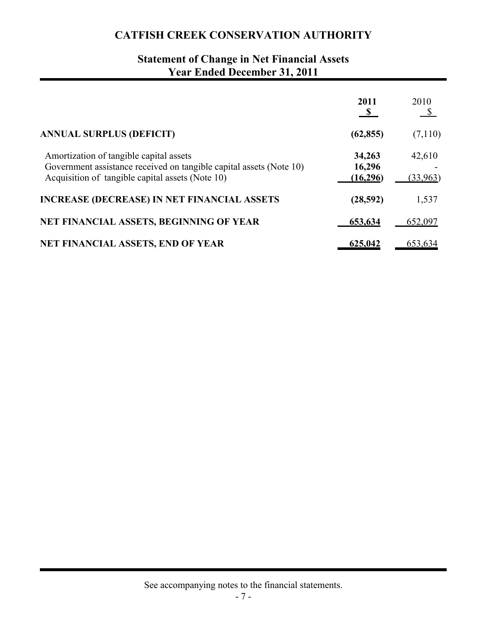# **Statement of Change in Net Financial Assets Year Ended December 31, 2011**

|                                                                                                                                                                    | 2011                          | 2010               |
|--------------------------------------------------------------------------------------------------------------------------------------------------------------------|-------------------------------|--------------------|
| <b>ANNUAL SURPLUS (DEFICIT)</b>                                                                                                                                    | (62, 855)                     | (7,110)            |
| Amortization of tangible capital assets<br>Government assistance received on tangible capital assets (Note 10)<br>Acquisition of tangible capital assets (Note 10) | 34,263<br>16,296<br>(16, 296) | 42,610<br>(33,963) |
| <b>INCREASE (DECREASE) IN NET FINANCIAL ASSETS</b>                                                                                                                 | (28, 592)                     | 1,537              |
| NET FINANCIAL ASSETS, BEGINNING OF YEAR                                                                                                                            | 653,634                       | 652,097            |
| <b>NET FINANCIAL ASSETS, END OF YEAR</b>                                                                                                                           | 625,042                       | 653,634            |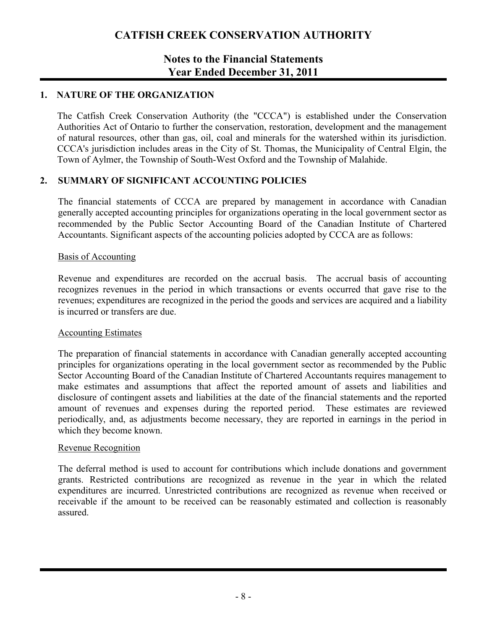### **Notes to the Financial Statements Year Ended December 31, 2011**

### **1. NATURE OF THE ORGANIZATION**

The Catfish Creek Conservation Authority (the "CCCA") is established under the Conservation Authorities Act of Ontario to further the conservation, restoration, development and the management of natural resources, other than gas, oil, coal and minerals for the watershed within its jurisdiction. CCCA's jurisdiction includes areas in the City of St. Thomas, the Municipality of Central Elgin, the Town of Aylmer, the Township of South-West Oxford and the Township of Malahide.

### **2. SUMMARY OF SIGNIFICANT ACCOUNTING POLICIES**

The financial statements of CCCA are prepared by management in accordance with Canadian generally accepted accounting principles for organizations operating in the local government sector as recommended by the Public Sector Accounting Board of the Canadian Institute of Chartered Accountants. Significant aspects of the accounting policies adopted by CCCA are as follows:

#### Basis of Accounting

Revenue and expenditures are recorded on the accrual basis. The accrual basis of accounting recognizes revenues in the period in which transactions or events occurred that gave rise to the revenues; expenditures are recognized in the period the goods and services are acquired and a liability is incurred or transfers are due.

#### Accounting Estimates

The preparation of financial statements in accordance with Canadian generally accepted accounting principles for organizations operating in the local government sector as recommended by the Public Sector Accounting Board of the Canadian Institute of Chartered Accountants requires management to make estimates and assumptions that affect the reported amount of assets and liabilities and disclosure of contingent assets and liabilities at the date of the financial statements and the reported amount of revenues and expenses during the reported period. These estimates are reviewed periodically, and, as adjustments become necessary, they are reported in earnings in the period in which they become known.

#### Revenue Recognition

The deferral method is used to account for contributions which include donations and government grants. Restricted contributions are recognized as revenue in the year in which the related expenditures are incurred. Unrestricted contributions are recognized as revenue when received or receivable if the amount to be received can be reasonably estimated and collection is reasonably assured.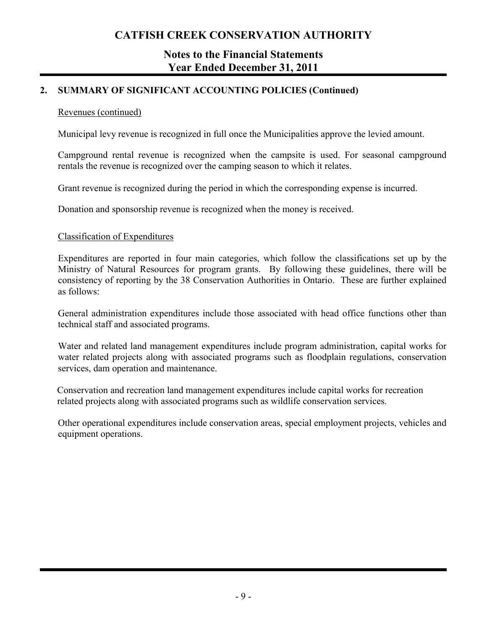### **Notes to the Financial Statements Year Ended December 31, 2011**

### **2. SUMMARY OF SIGNIFICANT ACCOUNTING POLICIES (Continued)**

### Revenues (continued)

Municipal levy revenue is recognized in full once the Municipalities approve the levied amount.

Campground rental revenue is recognized when the campsite is used. For seasonal campground rentals the revenue is recognized over the camping season to which it relates.

Grant revenue is recognized during the period in which the corresponding expense is incurred.

Donation and sponsorship revenue is recognized when the money is received.

#### Classification of Expenditures

Expenditures are reported in four main categories, which follow the classifications set up by the Ministry of Natural Resources for program grants. By following these guidelines, there will be consistency of reporting by the 38 Conservation Authorities in Ontario. These are further explained as follows:

General administration expenditures include those associated with head office functions other than technical staff and associated programs.

Water and related land management expenditures include program administration, capital works for water related projects along with associated programs such as floodplain regulations, conservation services, dam operation and maintenance.

Conservation and recreation land management expenditures include capital works for recreation related projects along with associated programs such as wildlife conservation services.

Other operational expenditures include conservation areas, special employment projects, vehicles and equipment operations.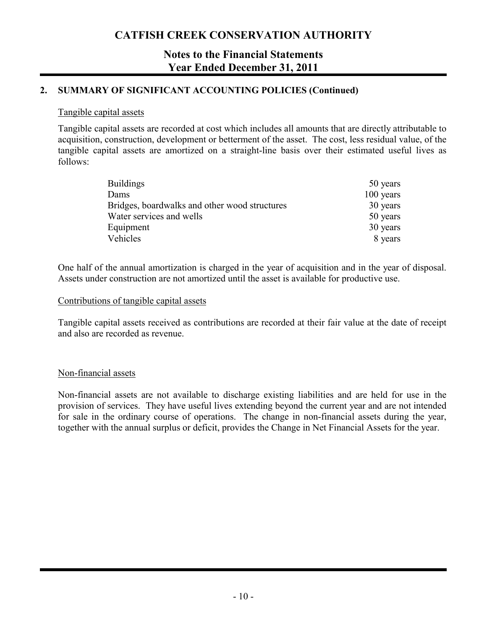### **Notes to the Financial Statements Year Ended December 31, 2011**

### **2. SUMMARY OF SIGNIFICANT ACCOUNTING POLICIES (Continued)**

#### Tangible capital assets

Tangible capital assets are recorded at cost which includes all amounts that are directly attributable to acquisition, construction, development or betterment of the asset. The cost, less residual value, of the tangible capital assets are amortized on a straight-line basis over their estimated useful lives as follows:

| <b>Buildings</b>                              | 50 years  |
|-----------------------------------------------|-----------|
| Dams                                          | 100 years |
| Bridges, boardwalks and other wood structures | 30 years  |
| Water services and wells                      | 50 years  |
| Equipment                                     | 30 years  |
| Vehicles                                      | 8 years   |

One half of the annual amortization is charged in the year of acquisition and in the year of disposal. Assets under construction are not amortized until the asset is available for productive use.

#### Contributions of tangible capital assets

Tangible capital assets received as contributions are recorded at their fair value at the date of receipt and also are recorded as revenue.

### Non-financial assets

Non-financial assets are not available to discharge existing liabilities and are held for use in the provision of services. They have useful lives extending beyond the current year and are not intended for sale in the ordinary course of operations. The change in non-financial assets during the year, together with the annual surplus or deficit, provides the Change in Net Financial Assets for the year.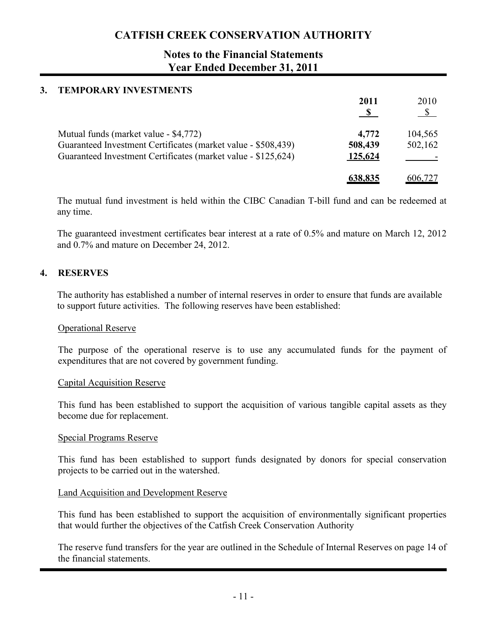### **Notes to the Financial Statements Year Ended December 31, 2011**

# **3. TEMPORARY INVESTMENTS 2011** 2010 **s s** Mutual funds (market value - \$4,772) **4,772** 104,565 Guaranteed Investment Certificates (market value - \$508,439) **508,439** 502,162 Guaranteed Investment Certificates (market value - \$125,624) 125,624 ------------**638,835** 606,727

The mutual fund investment is held within the CIBC Canadian T-bill fund and can be redeemed at any time.

The guaranteed investment certificates bear interest at a rate of 0.5% and mature on March 12, 2012 and 0.7% and mature on December 24, 2012.

### **4. RESERVES**

The authority has established a number of internal reserves in order to ensure that funds are available to support future activities. The following reserves have been established:

#### Operational Reserve

The purpose of the operational reserve is to use any accumulated funds for the payment of expenditures that are not covered by government funding.

#### Capital Acquisition Reserve

This fund has been established to support the acquisition of various tangible capital assets as they become due for replacement.

#### Special Programs Reserve

This fund has been established to support funds designated by donors for special conservation projects to be carried out in the watershed.

#### Land Acquisition and Development Reserve

This fund has been established to support the acquisition of environmentally significant properties that would further the objectives of the Catfish Creek Conservation Authority

The reserve fund transfers for the year are outlined in the Schedule of Internal Reserves on page 14 of the financial statements.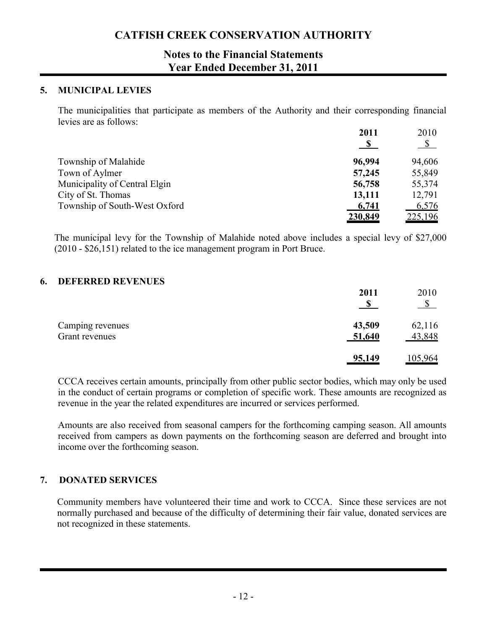### **Notes to the Financial Statements Year Ended December 31, 2011**

#### **5. MUNICIPAL LEVIES**

The municipalities that participate as members of the Authority and their corresponding financial levies are as follows:

|                               | 2011           | 2010                 |
|-------------------------------|----------------|----------------------|
|                               | $\mathbf{S}$   | $\sqrt{\frac{1}{2}}$ |
| Township of Malahide          | 96,994         | 94,606               |
| Town of Aylmer                | 57,245         | 55,849               |
| Municipality of Central Elgin | 56,758         | 55,374               |
| City of St. Thomas            | 13,111         | 12,791               |
| Township of South-West Oxford | 6,741          | 6,576                |
|                               | <u>230,849</u> | 225,196              |

The municipal levy for the Township of Malahide noted above includes a special levy of \$27,000 (2010 - \$26,151) related to the ice management program in Port Bruce.

#### **6. DEFERRED REVENUES**

|                                    | 2011             | 2010<br>-S       |
|------------------------------------|------------------|------------------|
| Camping revenues<br>Grant revenues | 43,509<br>51,640 | 62,116<br>43,848 |
|                                    | 95,149           | 105,964          |

CCCA receives certain amounts, principally from other public sector bodies, which may only be used in the conduct of certain programs or completion of specific work. These amounts are recognized as revenue in the year the related expenditures are incurred or services performed.

Amounts are also received from seasonal campers for the forthcoming camping season. All amounts received from campers as down payments on the forthcoming season are deferred and brought into income over the forthcoming season.

### **7. DONATED SERVICES**

Community members have volunteered their time and work to CCCA. Since these services are not normally purchased and because of the difficulty of determining their fair value, donated services are not recognized in these statements.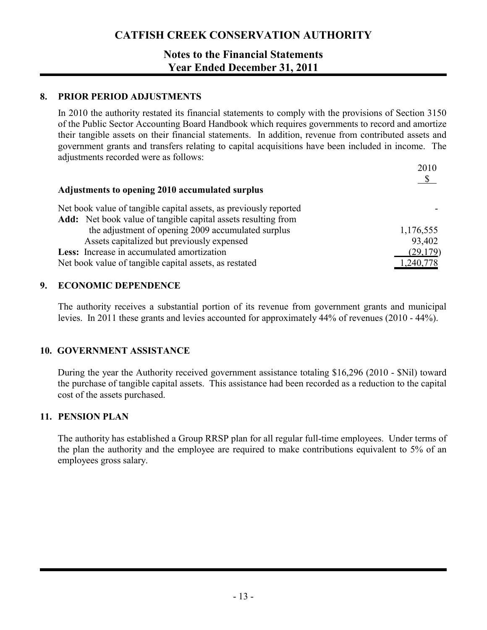### **Notes to the Financial Statements Year Ended December 31, 2011**

### **8. PRIOR PERIOD ADJUSTMENTS**

In 2010 the authority restated its financial statements to comply with the provisions of Section 3150 of the Public Sector Accounting Board Handbook which requires governments to record and amortize their tangible assets on their financial statements. In addition, revenue from contributed assets and government grants and transfers relating to capital acquisitions have been included in income. The adjustments recorded were as follows:

|                                                                      | 2010      |
|----------------------------------------------------------------------|-----------|
| Adjustments to opening 2010 accumulated surplus                      |           |
| Net book value of tangible capital assets, as previously reported    |           |
| <b>Add:</b> Net book value of tangible capital assets resulting from |           |
| the adjustment of opening 2009 accumulated surplus                   | 1,176,555 |
| Assets capitalized but previously expensed                           | 93,402    |
| Less: Increase in accumulated amortization                           | (29, 179) |
| Net book value of tangible capital assets, as restated               | ,240,778  |

### **9. ECONOMIC DEPENDENCE**

The authority receives a substantial portion of its revenue from government grants and municipal levies. In 2011 these grants and levies accounted for approximately 44% of revenues (2010 - 44%).

### **10. GOVERNMENT ASSISTANCE**

During the year the Authority received government assistance totaling \$16,296 (2010 - \$Nil) toward the purchase of tangible capital assets. This assistance had been recorded as a reduction to the capital cost of the assets purchased.

### **11. PENSION PLAN**

The authority has established a Group RRSP plan for all regular full-time employees. Under terms of the plan the authority and the employee are required to make contributions equivalent to 5% of an employees gross salary.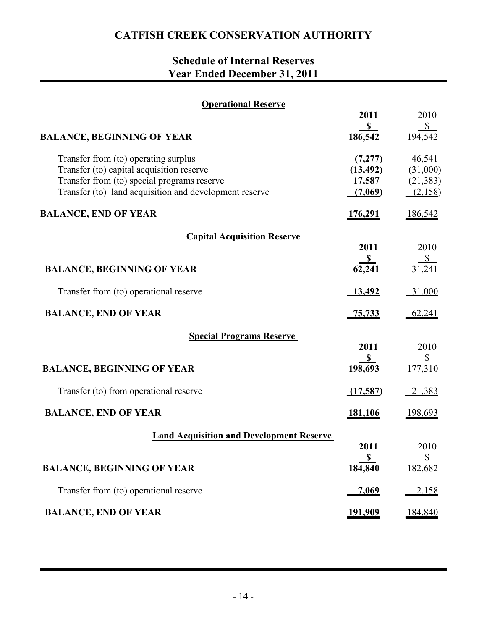# **Schedule of Internal Reserves Year Ended December 31, 2011**

| <b>Operational Reserve</b>                                                                                                                                                                 |                                           |                                            |
|--------------------------------------------------------------------------------------------------------------------------------------------------------------------------------------------|-------------------------------------------|--------------------------------------------|
|                                                                                                                                                                                            | 2011                                      | 2010                                       |
| <b>BALANCE, BEGINNING OF YEAR</b>                                                                                                                                                          | $\mathbb{S}$<br>186,542                   | $\frac{\S}{}$<br>194,542                   |
| Transfer from (to) operating surplus<br>Transfer (to) capital acquisition reserve<br>Transfer from (to) special programs reserve<br>Transfer (to) land acquisition and development reserve | (7,277)<br>(13, 492)<br>17,587<br>(7,069) | 46,541<br>(31,000)<br>(21, 383)<br>(2,158) |
| <b>BALANCE, END OF YEAR</b>                                                                                                                                                                | <u>176,291</u>                            | <u>186,542</u>                             |
| <b>Capital Acquisition Reserve</b>                                                                                                                                                         |                                           |                                            |
|                                                                                                                                                                                            | 2011                                      | 2010                                       |
| <b>BALANCE, BEGINNING OF YEAR</b>                                                                                                                                                          | $\frac{\$}{62,241}$                       | $rac{$}{31,241}$                           |
| Transfer from (to) operational reserve                                                                                                                                                     | 13,492                                    | $-31,000$                                  |
| <b>BALANCE, END OF YEAR</b>                                                                                                                                                                | <u>75,733</u>                             | <u>62,241</u>                              |
| <b>Special Programs Reserve</b>                                                                                                                                                            |                                           |                                            |
|                                                                                                                                                                                            | 2011<br>$\mathbf{s}$                      | 2010                                       |
| <b>BALANCE, BEGINNING OF YEAR</b>                                                                                                                                                          | 198,693                                   | $\frac{$}{177,310}$                        |
| Transfer (to) from operational reserve                                                                                                                                                     | (17,587)                                  | 21,383                                     |
| <b>BALANCE, END OF YEAR</b>                                                                                                                                                                | <u>181,106</u>                            | <u>198,693</u>                             |
| <b>Land Acquisition and Development Reserve</b>                                                                                                                                            | 2011                                      | 2010                                       |
| <b>BALANCE, BEGINNING OF YEAR</b>                                                                                                                                                          | S<br>184,840                              | \$<br>182,682                              |
| Transfer from (to) operational reserve                                                                                                                                                     | <u>7,069</u>                              | 2,158                                      |
|                                                                                                                                                                                            |                                           |                                            |
| <b>BALANCE, END OF YEAR</b>                                                                                                                                                                | <u>191,909</u>                            | 184,840                                    |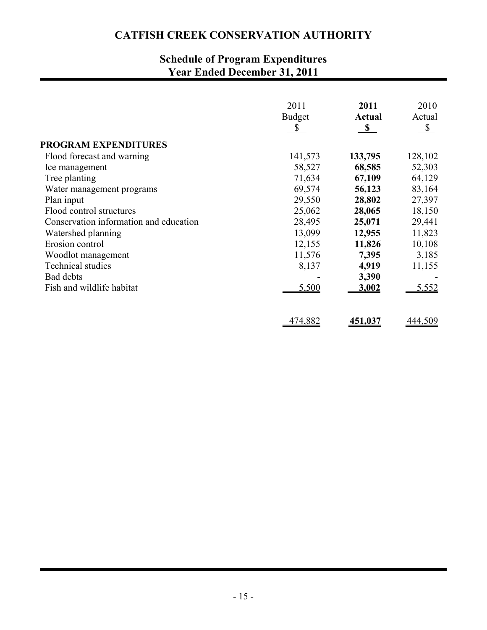# **Schedule of Program Expenditures Year Ended December 31, 2011**

|                                        | 2011<br><b>Budget</b><br>$\mathbb{S}$ | 2011<br>Actual<br>S S | 2010<br>Actual<br>$\mathbb{S}$ |
|----------------------------------------|---------------------------------------|-----------------------|--------------------------------|
| <b>PROGRAM EXPENDITURES</b>            |                                       |                       |                                |
| Flood forecast and warning             | 141,573                               | 133,795               | 128,102                        |
| Ice management                         | 58,527                                | 68,585                | 52,303                         |
| Tree planting                          | 71,634                                | 67,109                | 64,129                         |
| Water management programs              | 69,574                                | 56,123                | 83,164                         |
| Plan input                             | 29,550                                | 28,802                | 27,397                         |
| Flood control structures               | 25,062                                | 28,065                | 18,150                         |
| Conservation information and education | 28,495                                | 25,071                | 29,441                         |
| Watershed planning                     | 13,099                                | 12,955                | 11,823                         |
| Erosion control                        | 12,155                                | 11,826                | 10,108                         |
| Woodlot management                     | 11,576                                | 7,395                 | 3,185                          |
| <b>Technical studies</b>               | 8,137                                 | 4,919                 | 11,155                         |
| <b>Bad debts</b>                       |                                       | 3,390                 |                                |
| Fish and wildlife habitat              | 5,500                                 | 3,002                 | 5,552                          |
|                                        | 474,882                               | 451,037               | 444,509                        |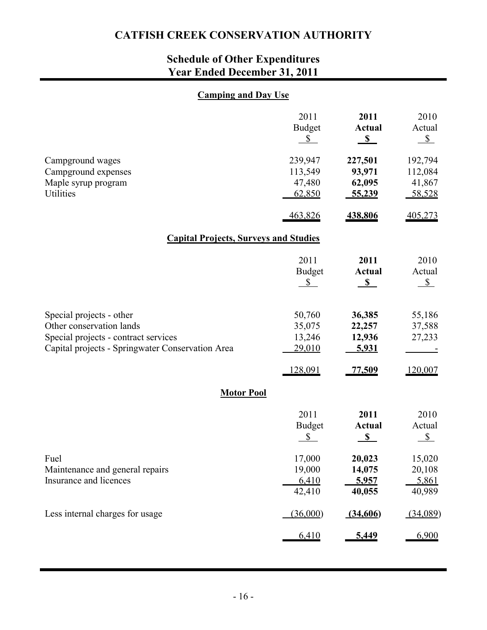# **Schedule of Other Expenditures Year Ended December 31, 2011**

### **Camping and Day Use**

|                                                                                                                                                  | 2011<br><b>Budget</b><br>$\mathbb{S}$  | 2011<br><b>Actual</b><br>$\mathbf{s}$ | 2010<br>Actual<br>$S_{-}$              |  |  |  |  |  |  |  |  |
|--------------------------------------------------------------------------------------------------------------------------------------------------|----------------------------------------|---------------------------------------|----------------------------------------|--|--|--|--|--|--|--|--|
| Campground wages<br>Campground expenses<br>Maple syrup program<br>Utilities                                                                      | 239,947<br>113,549<br>47,480<br>62,850 | 227,501<br>93,971<br>62,095<br>55,239 | 192,794<br>112,084<br>41,867<br>58,528 |  |  |  |  |  |  |  |  |
|                                                                                                                                                  | 463,826                                | 438,806                               | 405,273                                |  |  |  |  |  |  |  |  |
| <b>Capital Projects, Surveys and Studies</b>                                                                                                     |                                        |                                       |                                        |  |  |  |  |  |  |  |  |
|                                                                                                                                                  | 2011<br><b>Budget</b><br>$\mathbb{S}$  | 2011<br><b>Actual</b><br>S            | 2010<br>Actual<br>$S_{-}$              |  |  |  |  |  |  |  |  |
| Special projects - other<br>Other conservation lands<br>Special projects - contract services<br>Capital projects - Springwater Conservation Area | 50,760<br>35,075<br>13,246<br>29,010   | 36,385<br>22,257<br>12,936<br>5,931   | 55,186<br>37,588<br>27,233             |  |  |  |  |  |  |  |  |
|                                                                                                                                                  | 128,091                                | 77,509                                | 120,007                                |  |  |  |  |  |  |  |  |
| <b>Motor Pool</b>                                                                                                                                |                                        |                                       |                                        |  |  |  |  |  |  |  |  |
|                                                                                                                                                  | 2011<br><b>Budget</b><br>\$            | 2011<br><b>Actual</b><br>S            | 2010<br>Actual<br>$S_{-}$              |  |  |  |  |  |  |  |  |
| Fuel<br>Maintenance and general repairs<br>Insurance and licences                                                                                | 17,000<br>19,000<br>6,410<br>42,410    | 20,023<br>14,075<br>5,957<br>40,055   | 15,020<br>20,108<br>5,861<br>40,989    |  |  |  |  |  |  |  |  |
| Less internal charges for usage                                                                                                                  | (36,000)                               | (34,606)                              | (34,089)                               |  |  |  |  |  |  |  |  |
|                                                                                                                                                  | 6,410                                  | 5,449                                 | 6,900                                  |  |  |  |  |  |  |  |  |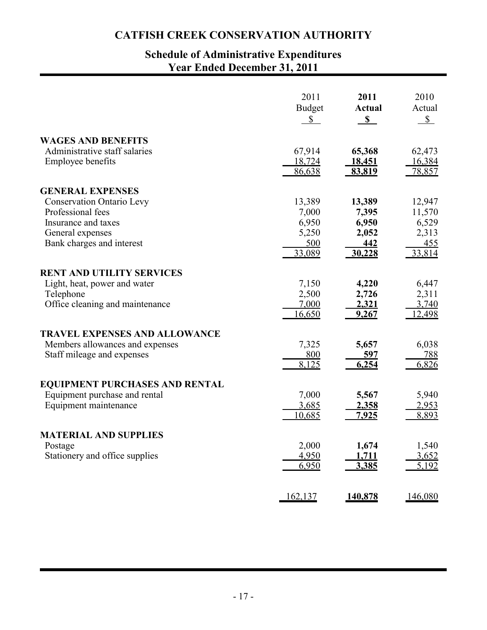### **Schedule of Administrative Expenditures Year Ended December 31, 2011**

|                                       | 2011           | 2011          | 2010         |
|---------------------------------------|----------------|---------------|--------------|
|                                       | <b>Budget</b>  | <b>Actual</b> | Actual       |
|                                       | $\mathbb{S}^-$ | $\mathbf{s}$  | $\mathbb{S}$ |
| <b>WAGES AND BENEFITS</b>             | 67,914         | 65,368        | 62,473       |
| Administrative staff salaries         | 18,724         | <u>18,451</u> | 16,384       |
| <b>Employee benefits</b>              | 86,638         | 83,819        | 78,857       |
| <b>GENERAL EXPENSES</b>               | 13,389         | 13,389        | 12,947       |
| <b>Conservation Ontario Levy</b>      | 7,000          | 7,395         | 11,570       |
| Professional fees                     | 6,950          | 6,950         | 6,529        |
| Insurance and taxes                   | 5,250          | 2,052         | 2,313        |
| General expenses                      | 500            | 442           | 455          |
| Bank charges and interest             | 33,089         | 30,228        | 33,814       |
| <b>RENT AND UTILITY SERVICES</b>      | 7,150          | 4,220         | 6,447        |
| Light, heat, power and water          | 2,500          | 2,726         | 2,311        |
| Telephone                             | 7,000          | 2,321         | 3.740        |
| Office cleaning and maintenance       | 16,650         | 9,267         | 12,498       |
| <b>TRAVEL EXPENSES AND ALLOWANCE</b>  | 7,325          | 5,657         | 6,038        |
| Members allowances and expenses       | <u>800</u>     | 597           | <u>788</u>   |
| Staff mileage and expenses            | 8,125          | 6,254         | 6,826        |
| <b>EQUIPMENT PURCHASES AND RENTAL</b> | 7,000          | 5,567         | 5,940        |
| Equipment purchase and rental         | 3,685          | <u>2,358</u>  | 2,953        |
| Equipment maintenance                 | 10,685         | <u>7,925</u>  | 8,893        |
| <b>MATERIAL AND SUPPLIES</b>          | 2,000          | 1,674         | 1,540        |
| Postage                               | 4,950          | 1,711         | 3,652        |
| Stationery and office supplies        | 6,950          | 3,385         | 5,192        |
|                                       | 162,137        | 140,878       | 146,080      |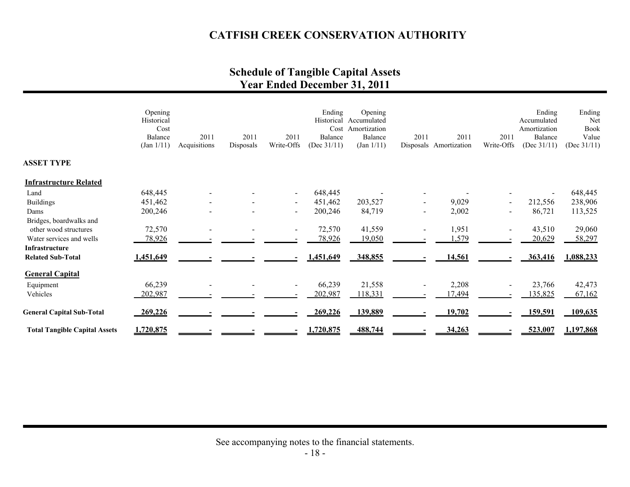### **Schedule of Tangible Capital Assets Year Ended December 31, 2011**

|                                      | Opening<br>Historical<br>Cost<br>Balance<br>(Jan 1/11) | 2011<br>Acquisitions | 2011<br>Disposals | 2011<br>Write-Offs       | Ending<br>Cost<br>Balance<br>(Dec $31/11$ ) | Opening<br>Historical Accumulated<br>Amortization<br>Balance<br>(Jan 1/11) | 2011                     | 2011<br>Disposals Amortization | 2011<br>Write-Offs | Ending<br>Accumulated<br>Amortization<br>Balance<br>(Dec $31/11$ ) | Ending<br>Net<br>Book<br>Value<br>(Dec $31/11$ ) |
|--------------------------------------|--------------------------------------------------------|----------------------|-------------------|--------------------------|---------------------------------------------|----------------------------------------------------------------------------|--------------------------|--------------------------------|--------------------|--------------------------------------------------------------------|--------------------------------------------------|
| <b>ASSET TYPE</b>                    |                                                        |                      |                   |                          |                                             |                                                                            |                          |                                |                    |                                                                    |                                                  |
| <b>Infrastructure Related</b>        |                                                        |                      |                   |                          |                                             |                                                                            |                          |                                |                    |                                                                    |                                                  |
| Land                                 | 648,445                                                |                      |                   | $\blacksquare$           | 648,445                                     |                                                                            |                          |                                |                    |                                                                    | 648,445                                          |
| <b>Buildings</b>                     | 451,462                                                |                      |                   | $\overline{\phantom{a}}$ | 451,462                                     | 203,527                                                                    |                          | 9,029                          |                    | 212,556                                                            | 238,906                                          |
| Dams                                 | 200,246                                                |                      |                   | $\sim$                   | 200,246                                     | 84,719                                                                     | $\overline{\phantom{a}}$ | 2,002                          |                    | 86,721                                                             | 113,525                                          |
| Bridges, boardwalks and              |                                                        |                      |                   |                          |                                             |                                                                            |                          |                                |                    |                                                                    |                                                  |
| other wood structures                | 72,570                                                 |                      |                   |                          | 72,570                                      | 41,559                                                                     |                          | 1,951                          |                    | 43,510                                                             | 29,060                                           |
| Water services and wells             | 78,926                                                 |                      |                   |                          | 78,926                                      | 19,050                                                                     |                          | 1,579                          |                    | 20,629                                                             | 58,297                                           |
| <b>Infrastructure</b>                |                                                        |                      |                   |                          |                                             |                                                                            |                          |                                |                    |                                                                    |                                                  |
| <b>Related Sub-Total</b>             | 1,451,649                                              |                      |                   |                          | 1,451,649                                   | 348,855                                                                    |                          | 14,561                         |                    | 363,416                                                            | 1,088,233                                        |
| <b>General Capital</b>               |                                                        |                      |                   |                          |                                             |                                                                            |                          |                                |                    |                                                                    |                                                  |
| Equipment                            | 66,239                                                 |                      |                   | $\overline{\phantom{a}}$ | 66,239                                      | 21,558                                                                     |                          | 2,208                          |                    | 23,766                                                             | 42,473                                           |
| Vehicles                             | 202,987                                                |                      |                   |                          | 202,987                                     | 118,331                                                                    |                          | 7,494                          |                    | 135,825                                                            | 67,162                                           |
| <b>General Capital Sub-Total</b>     | 269,226                                                |                      |                   |                          | 269,226                                     | 139,889                                                                    |                          | 19,702                         |                    | 159,591                                                            | 109,635                                          |
| <b>Total Tangible Capital Assets</b> | 1,720,875                                              |                      |                   |                          | 1,720,875                                   | 488,744                                                                    |                          | 34,263                         |                    | 523,007                                                            | 1,197,868                                        |